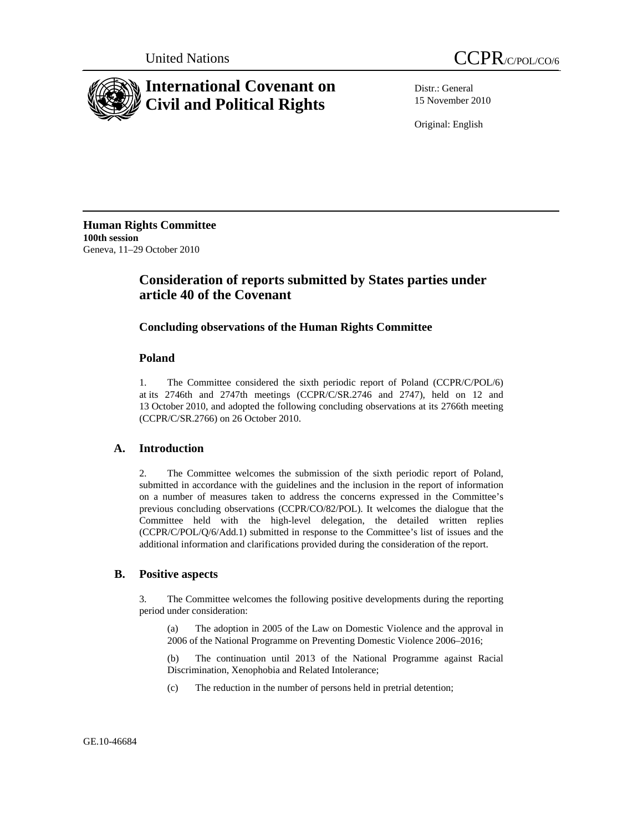



Distr.: General 15 November 2010

Original: English

**Human Rights Committee 100th session**  Geneva, 11–29 October 2010

# **Consideration of reports submitted by States parties under article 40 of the Covenant**

## **Concluding observations of the Human Rights Committee**

## **Poland**

1. The Committee considered the sixth periodic report of Poland (CCPR/C/POL/6) at its 2746th and 2747th meetings (CCPR/C/SR.2746 and 2747), held on 12 and 13 October 2010, and adopted the following concluding observations at its 2766th meeting (CCPR/C/SR.2766) on 26 October 2010.

## **A. Introduction**

2. The Committee welcomes the submission of the sixth periodic report of Poland, submitted in accordance with the guidelines and the inclusion in the report of information on a number of measures taken to address the concerns expressed in the Committee's previous concluding observations (CCPR/CO/82/POL). It welcomes the dialogue that the Committee held with the high-level delegation, the detailed written replies (CCPR/C/POL/Q/6/Add.1) submitted in response to the Committee's list of issues and the additional information and clarifications provided during the consideration of the report.

#### **B. Positive aspects**

3. The Committee welcomes the following positive developments during the reporting period under consideration:

(a) The adoption in 2005 of the Law on Domestic Violence and the approval in 2006 of the National Programme on Preventing Domestic Violence 2006–2016;

(b) The continuation until 2013 of the National Programme against Racial Discrimination, Xenophobia and Related Intolerance;

(c) The reduction in the number of persons held in pretrial detention;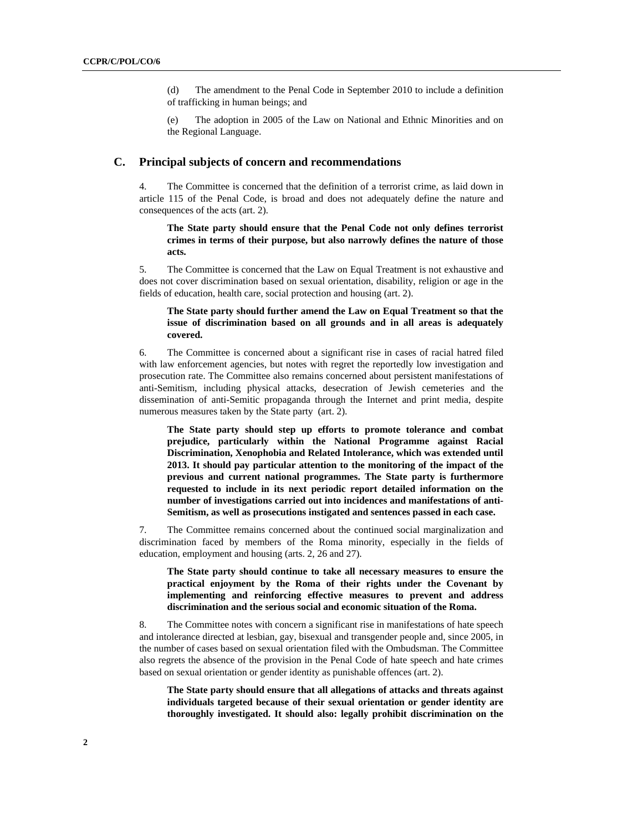(d) The amendment to the Penal Code in September 2010 to include a definition of trafficking in human beings; and

(e) The adoption in 2005 of the Law on National and Ethnic Minorities and on the Regional Language.

#### **C. Principal subjects of concern and recommendations**

4. The Committee is concerned that the definition of a terrorist crime, as laid down in article 115 of the Penal Code, is broad and does not adequately define the nature and consequences of the acts (art. 2).

**The State party should ensure that the Penal Code not only defines terrorist crimes in terms of their purpose, but also narrowly defines the nature of those acts.** 

5. The Committee is concerned that the Law on Equal Treatment is not exhaustive and does not cover discrimination based on sexual orientation, disability, religion or age in the fields of education, health care, social protection and housing (art. 2).

**The State party should further amend the Law on Equal Treatment so that the issue of discrimination based on all grounds and in all areas is adequately covered.** 

6. The Committee is concerned about a significant rise in cases of racial hatred filed with law enforcement agencies, but notes with regret the reportedly low investigation and prosecution rate. The Committee also remains concerned about persistent manifestations of anti-Semitism, including physical attacks, desecration of Jewish cemeteries and the dissemination of anti-Semitic propaganda through the Internet and print media, despite numerous measures taken by the State party (art. 2).

**The State party should step up efforts to promote tolerance and combat prejudice, particularly within the National Programme against Racial Discrimination, Xenophobia and Related Intolerance, which was extended until 2013. It should pay particular attention to the monitoring of the impact of the previous and current national programmes. The State party is furthermore requested to include in its next periodic report detailed information on the number of investigations carried out into incidences and manifestations of anti-Semitism, as well as prosecutions instigated and sentences passed in each case.** 

7. The Committee remains concerned about the continued social marginalization and discrimination faced by members of the Roma minority, especially in the fields of education, employment and housing (arts. 2, 26 and 27).

**The State party should continue to take all necessary measures to ensure the practical enjoyment by the Roma of their rights under the Covenant by implementing and reinforcing effective measures to prevent and address discrimination and the serious social and economic situation of the Roma.** 

8. The Committee notes with concern a significant rise in manifestations of hate speech and intolerance directed at lesbian, gay, bisexual and transgender people and, since 2005, in the number of cases based on sexual orientation filed with the Ombudsman. The Committee also regrets the absence of the provision in the Penal Code of hate speech and hate crimes based on sexual orientation or gender identity as punishable offences (art. 2).

**The State party should ensure that all allegations of attacks and threats against individuals targeted because of their sexual orientation or gender identity are thoroughly investigated. It should also: legally prohibit discrimination on the**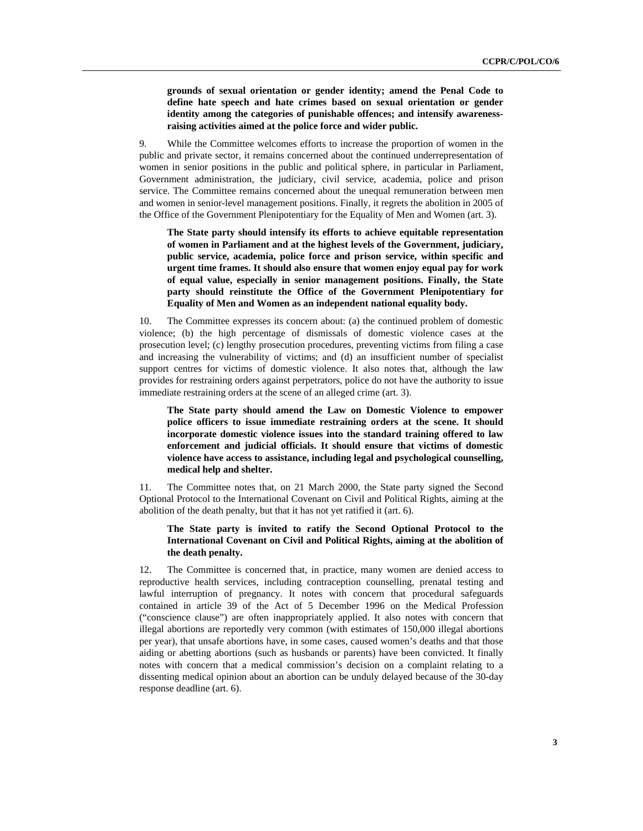**grounds of sexual orientation or gender identity; amend the Penal Code to define hate speech and hate crimes based on sexual orientation or gender identity among the categories of punishable offences; and intensify awarenessraising activities aimed at the police force and wider public.** 

9. While the Committee welcomes efforts to increase the proportion of women in the public and private sector, it remains concerned about the continued underrepresentation of women in senior positions in the public and political sphere, in particular in Parliament, Government administration, the judiciary, civil service, academia, police and prison service. The Committee remains concerned about the unequal remuneration between men and women in senior-level management positions. Finally, it regrets the abolition in 2005 of the Office of the Government Plenipotentiary for the Equality of Men and Women (art. 3).

**The State party should intensify its efforts to achieve equitable representation of women in Parliament and at the highest levels of the Government, judiciary, public service, academia, police force and prison service, within specific and urgent time frames. It should also ensure that women enjoy equal pay for work of equal value, especially in senior management positions. Finally, the State party should reinstitute the Office of the Government Plenipotentiary for Equality of Men and Women as an independent national equality body.** 

10. The Committee expresses its concern about: (a) the continued problem of domestic violence; (b) the high percentage of dismissals of domestic violence cases at the prosecution level; (c) lengthy prosecution procedures, preventing victims from filing a case and increasing the vulnerability of victims; and (d) an insufficient number of specialist support centres for victims of domestic violence. It also notes that, although the law provides for restraining orders against perpetrators, police do not have the authority to issue immediate restraining orders at the scene of an alleged crime (art. 3).

**The State party should amend the Law on Domestic Violence to empower police officers to issue immediate restraining orders at the scene. It should incorporate domestic violence issues into the standard training offered to law enforcement and judicial officials. It should ensure that victims of domestic violence have access to assistance, including legal and psychological counselling, medical help and shelter.** 

11. The Committee notes that, on 21 March 2000, the State party signed the Second Optional Protocol to the International Covenant on Civil and Political Rights, aiming at the abolition of the death penalty, but that it has not yet ratified it (art. 6).

#### **The State party is invited to ratify the Second Optional Protocol to the International Covenant on Civil and Political Rights, aiming at the abolition of the death penalty.**

12. The Committee is concerned that, in practice, many women are denied access to reproductive health services, including contraception counselling, prenatal testing and lawful interruption of pregnancy. It notes with concern that procedural safeguards contained in article 39 of the Act of 5 December 1996 on the Medical Profession ("conscience clause") are often inappropriately applied. It also notes with concern that illegal abortions are reportedly very common (with estimates of 150,000 illegal abortions per year), that unsafe abortions have, in some cases, caused women's deaths and that those aiding or abetting abortions (such as husbands or parents) have been convicted. It finally notes with concern that a medical commission's decision on a complaint relating to a dissenting medical opinion about an abortion can be unduly delayed because of the 30-day response deadline (art. 6).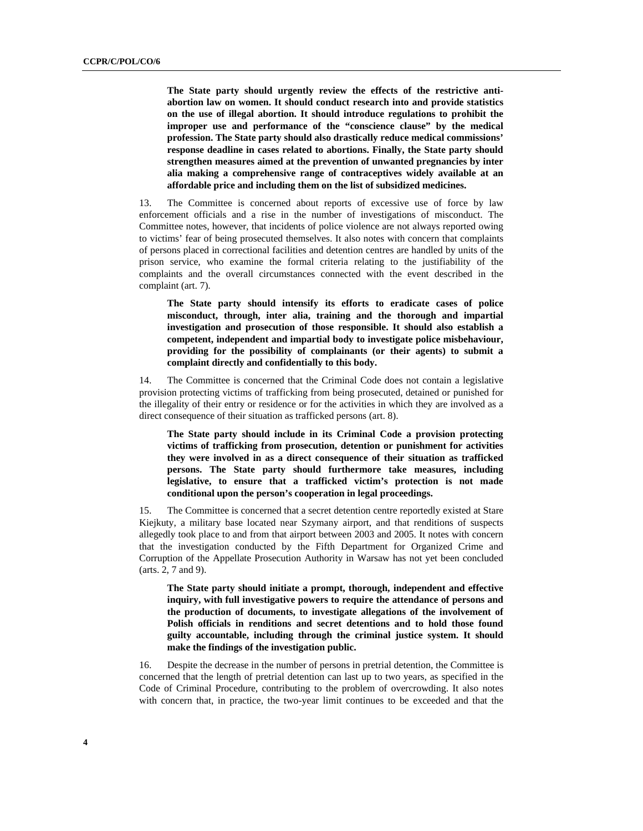**The State party should urgently review the effects of the restrictive antiabortion law on women. It should conduct research into and provide statistics on the use of illegal abortion. It should introduce regulations to prohibit the improper use and performance of the "conscience clause" by the medical profession. The State party should also drastically reduce medical commissions' response deadline in cases related to abortions. Finally, the State party should strengthen measures aimed at the prevention of unwanted pregnancies by inter alia making a comprehensive range of contraceptives widely available at an affordable price and including them on the list of subsidized medicines.** 

13. The Committee is concerned about reports of excessive use of force by law enforcement officials and a rise in the number of investigations of misconduct. The Committee notes, however, that incidents of police violence are not always reported owing to victims' fear of being prosecuted themselves. It also notes with concern that complaints of persons placed in correctional facilities and detention centres are handled by units of the prison service, who examine the formal criteria relating to the justifiability of the complaints and the overall circumstances connected with the event described in the complaint (art. 7).

**The State party should intensify its efforts to eradicate cases of police misconduct, through, inter alia, training and the thorough and impartial investigation and prosecution of those responsible. It should also establish a competent, independent and impartial body to investigate police misbehaviour, providing for the possibility of complainants (or their agents) to submit a complaint directly and confidentially to this body.** 

14. The Committee is concerned that the Criminal Code does not contain a legislative provision protecting victims of trafficking from being prosecuted, detained or punished for the illegality of their entry or residence or for the activities in which they are involved as a direct consequence of their situation as trafficked persons (art. 8).

**The State party should include in its Criminal Code a provision protecting victims of trafficking from prosecution, detention or punishment for activities they were involved in as a direct consequence of their situation as trafficked persons. The State party should furthermore take measures, including legislative, to ensure that a trafficked victim's protection is not made conditional upon the person's cooperation in legal proceedings.** 

15. The Committee is concerned that a secret detention centre reportedly existed at Stare Kiejkuty, a military base located near Szymany airport, and that renditions of suspects allegedly took place to and from that airport between 2003 and 2005. It notes with concern that the investigation conducted by the Fifth Department for Organized Crime and Corruption of the Appellate Prosecution Authority in Warsaw has not yet been concluded (arts. 2, 7 and 9).

**The State party should initiate a prompt, thorough, independent and effective inquiry, with full investigative powers to require the attendance of persons and the production of documents, to investigate allegations of the involvement of Polish officials in renditions and secret detentions and to hold those found guilty accountable, including through the criminal justice system. It should make the findings of the investigation public.** 

16. Despite the decrease in the number of persons in pretrial detention, the Committee is concerned that the length of pretrial detention can last up to two years, as specified in the Code of Criminal Procedure, contributing to the problem of overcrowding. It also notes with concern that, in practice, the two-year limit continues to be exceeded and that the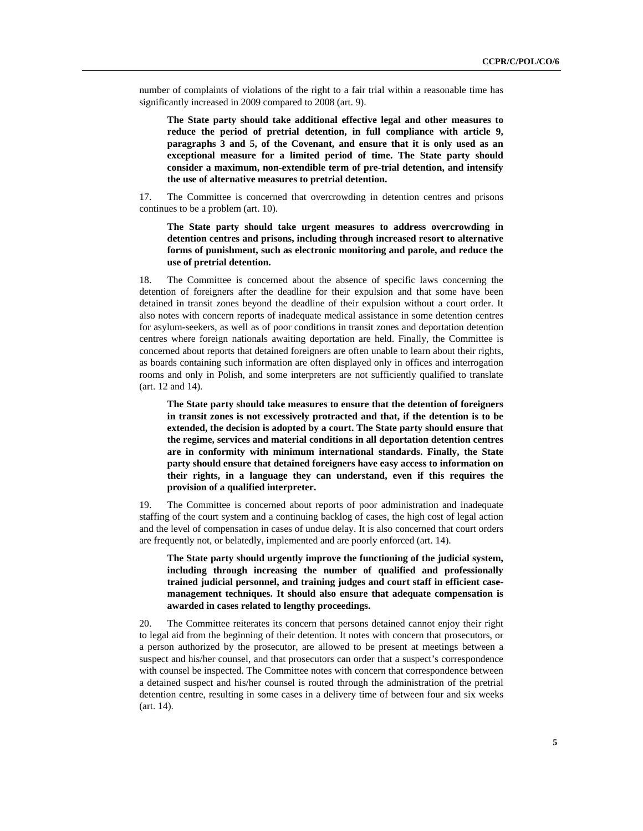number of complaints of violations of the right to a fair trial within a reasonable time has significantly increased in 2009 compared to 2008 (art. 9).

**The State party should take additional effective legal and other measures to reduce the period of pretrial detention, in full compliance with article 9, paragraphs 3 and 5, of the Covenant, and ensure that it is only used as an exceptional measure for a limited period of time. The State party should consider a maximum, non-extendible term of pre-trial detention, and intensify the use of alternative measures to pretrial detention.** 

17. The Committee is concerned that overcrowding in detention centres and prisons continues to be a problem (art. 10).

**The State party should take urgent measures to address overcrowding in detention centres and prisons, including through increased resort to alternative forms of punishment, such as electronic monitoring and parole, and reduce the use of pretrial detention.** 

18. The Committee is concerned about the absence of specific laws concerning the detention of foreigners after the deadline for their expulsion and that some have been detained in transit zones beyond the deadline of their expulsion without a court order. It also notes with concern reports of inadequate medical assistance in some detention centres for asylum-seekers, as well as of poor conditions in transit zones and deportation detention centres where foreign nationals awaiting deportation are held. Finally, the Committee is concerned about reports that detained foreigners are often unable to learn about their rights, as boards containing such information are often displayed only in offices and interrogation rooms and only in Polish, and some interpreters are not sufficiently qualified to translate (art. 12 and 14).

**The State party should take measures to ensure that the detention of foreigners in transit zones is not excessively protracted and that, if the detention is to be extended, the decision is adopted by a court. The State party should ensure that the regime, services and material conditions in all deportation detention centres are in conformity with minimum international standards. Finally, the State party should ensure that detained foreigners have easy access to information on their rights, in a language they can understand, even if this requires the provision of a qualified interpreter.** 

19. The Committee is concerned about reports of poor administration and inadequate staffing of the court system and a continuing backlog of cases, the high cost of legal action and the level of compensation in cases of undue delay. It is also concerned that court orders are frequently not, or belatedly, implemented and are poorly enforced (art. 14).

**The State party should urgently improve the functioning of the judicial system, including through increasing the number of qualified and professionally trained judicial personnel, and training judges and court staff in efficient casemanagement techniques. It should also ensure that adequate compensation is awarded in cases related to lengthy proceedings.** 

20. The Committee reiterates its concern that persons detained cannot enjoy their right to legal aid from the beginning of their detention. It notes with concern that prosecutors, or a person authorized by the prosecutor, are allowed to be present at meetings between a suspect and his/her counsel, and that prosecutors can order that a suspect's correspondence with counsel be inspected. The Committee notes with concern that correspondence between a detained suspect and his/her counsel is routed through the administration of the pretrial detention centre, resulting in some cases in a delivery time of between four and six weeks (art. 14).